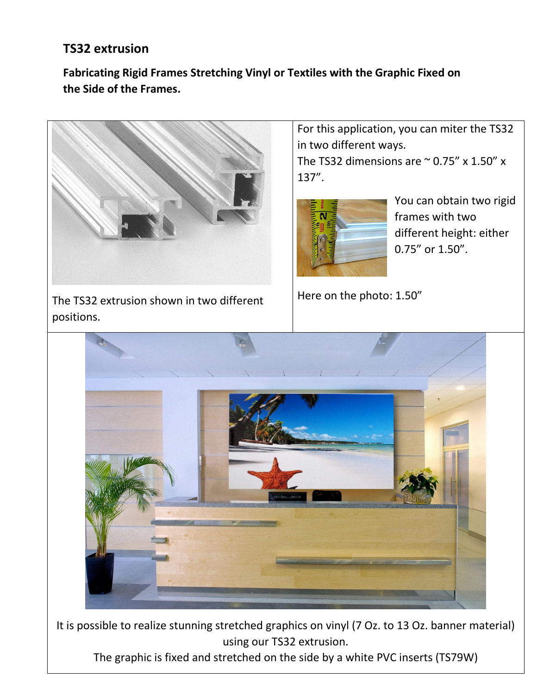## **TS32 extrusion**

## **Fabricating Rigid Frames Stretching Vinyl or Textiles with the Graphic Fixed on the Side of the Frames.**



The TS32 extrusion shown in two different positions.

For this application, you can miter the TS32 in two different ways.

The TS32 dimensions are  $\sim$  0.75" x 1.50" x 137".



You can obtain two rigid frames with two different height: either 0.75" or 1.50".

Here on the photo: 1.50"



It is possible to realize stunning stretched graphics on vinyl (7 Oz. to 13 Oz. banner material) using our TS32 extrusion.

The graphic is fixed and stretched on the side by a white PVC inserts (TS79W)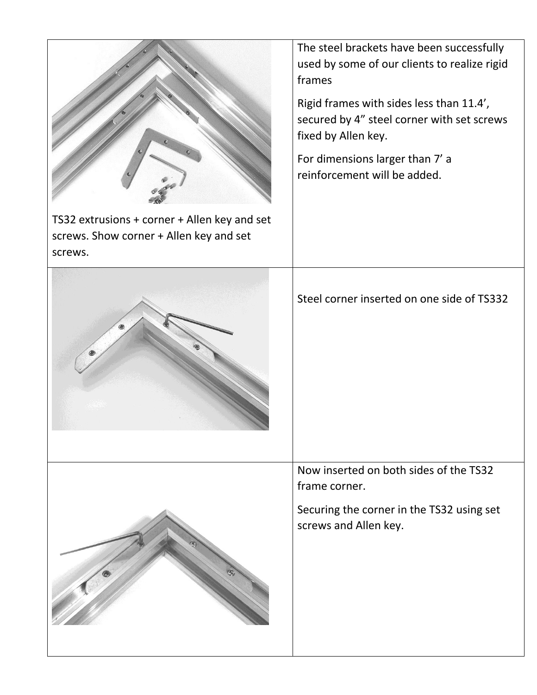|                                                                                                    | The steel brackets have been successfully<br>used by some of our clients to realize rigid<br>frames           |
|----------------------------------------------------------------------------------------------------|---------------------------------------------------------------------------------------------------------------|
|                                                                                                    | Rigid frames with sides less than 11.4',<br>secured by 4" steel corner with set screws<br>fixed by Allen key. |
|                                                                                                    | For dimensions larger than 7' a<br>reinforcement will be added.                                               |
| TS32 extrusions + corner + Allen key and set<br>screws. Show corner + Allen key and set<br>screws. |                                                                                                               |
|                                                                                                    | Steel corner inserted on one side of TS332                                                                    |
|                                                                                                    | Now inserted on both sides of the TS32<br>frame corner.                                                       |
|                                                                                                    | Securing the corner in the TS32 using set<br>screws and Allen key.                                            |
|                                                                                                    |                                                                                                               |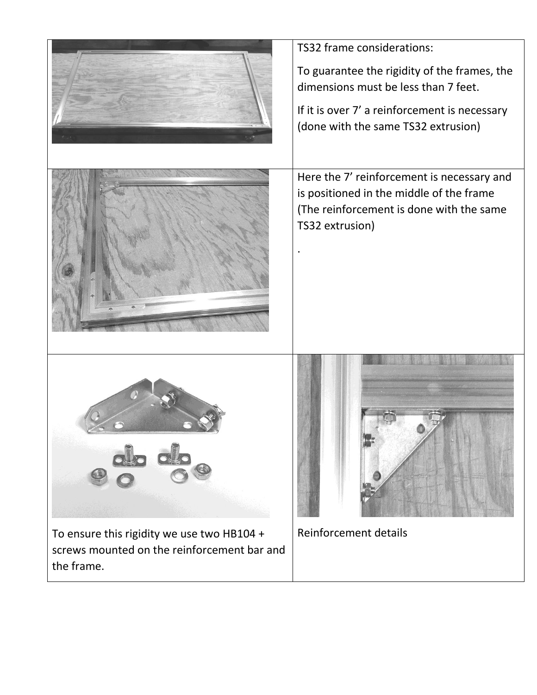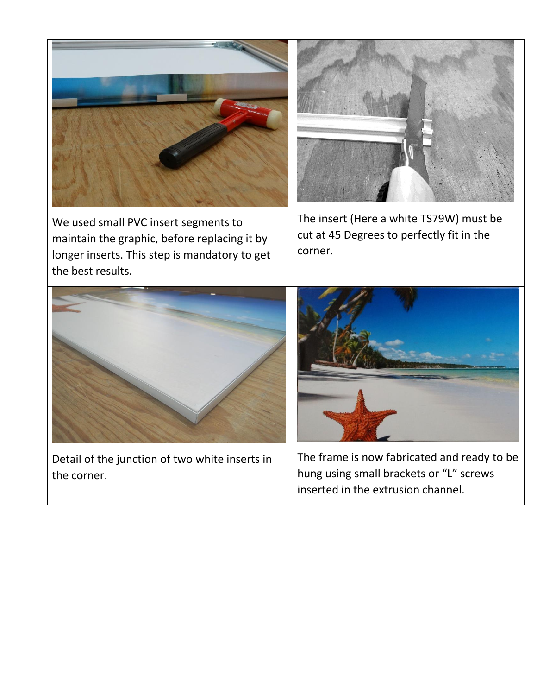

We used small PVC insert segments to maintain the graphic, before replacing it by longer inserts. This step is mandatory to get the best results.



The insert (Here a white TS79W) must be cut at 45 Degrees to perfectly fit in the corner.



Detail of the junction of two white inserts in the corner.



The frame is now fabricated and ready to be hung using small brackets or "L" screws inserted in the extrusion channel.